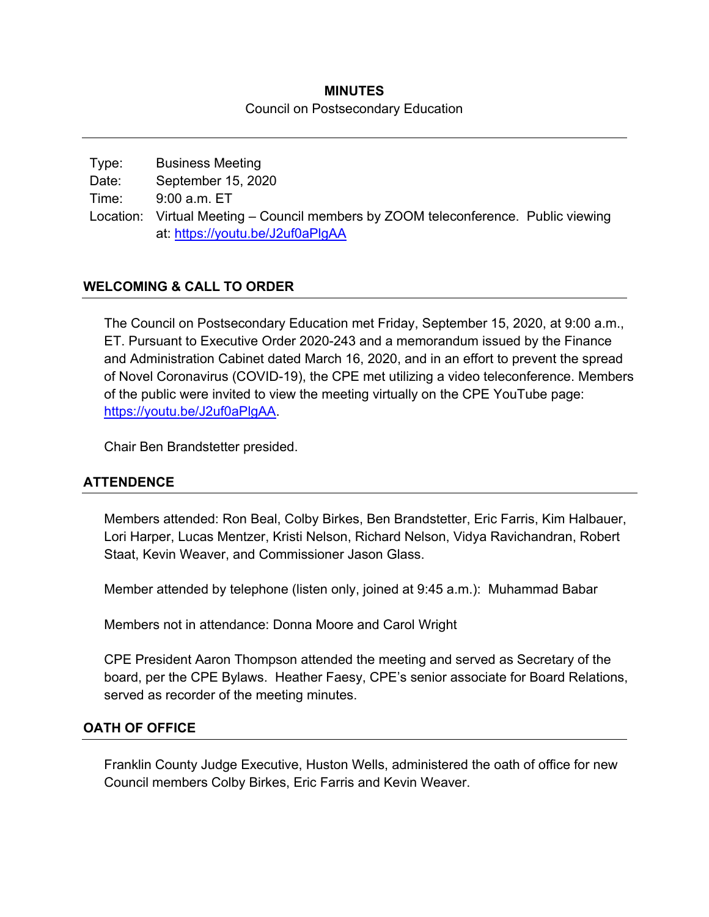## **MINUTES**  Council on Postsecondary Education

Type: Business Meeting Date: September 15, 2020 Time: 9:00 a.m. ET Location: Virtual Meeting – Council members by ZOOM teleconference. Public viewing at: https://youtu.be/J2uf0aPlgAA

# **WELCOMING & CALL TO ORDER**

The Council on Postsecondary Education met Friday, September 15, 2020, at 9:00 a.m., ET. Pursuant to Executive Order 2020-243 and a memorandum issued by the Finance and Administration Cabinet dated March 16, 2020, and in an effort to prevent the spread of Novel Coronavirus (COVID-19), the CPE met utilizing a video teleconference. Members of the public were invited to view the meeting virtually on the CPE YouTube page: https://youtu.be/J2uf0aPlgAA.

Chair Ben Brandstetter presided.

## **ATTENDENCE**

Members attended: Ron Beal, Colby Birkes, Ben Brandstetter, Eric Farris, Kim Halbauer, Lori Harper, Lucas Mentzer, Kristi Nelson, Richard Nelson, Vidya Ravichandran, Robert Staat, Kevin Weaver, and Commissioner Jason Glass.

Member attended by telephone (listen only, joined at 9:45 a.m.): Muhammad Babar

Members not in attendance: Donna Moore and Carol Wright

CPE President Aaron Thompson attended the meeting and served as Secretary of the board, per the CPE Bylaws. Heather Faesy, CPE's senior associate for Board Relations, served as recorder of the meeting minutes.

## **OATH OF OFFICE**

Franklin County Judge Executive, Huston Wells, administered the oath of office for new Council members Colby Birkes, Eric Farris and Kevin Weaver.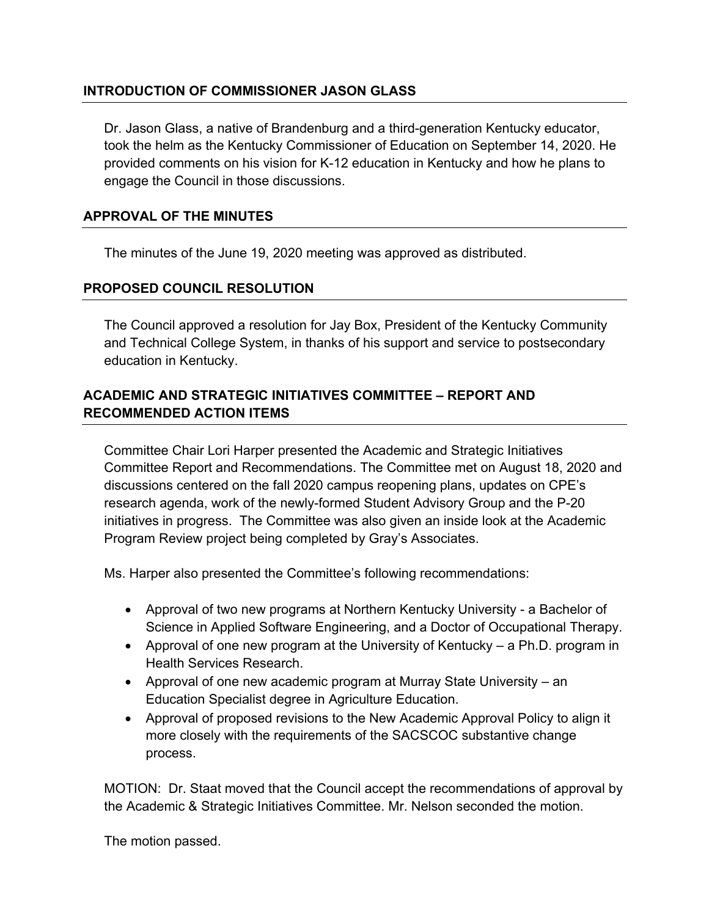# **INTRODUCTION OF COMMISSIONER JASON GLASS**

Dr. Jason Glass, a native of Brandenburg and a third-generation Kentucky educator, took the helm as the Kentucky Commissioner of Education on September 14, 2020. He provided comments on his vision for K-12 education in Kentucky and how he plans to engage the Council in those discussions.

## **APPROVAL OF THE MINUTES**

The minutes of the June 19, 2020 meeting was approved as distributed.

## **PROPOSED COUNCIL RESOLUTION**

The Council approved a resolution for Jay Box, President of the Kentucky Community and Technical College System, in thanks of his support and service to postsecondary education in Kentucky.

# **ACADEMIC AND STRATEGIC INITIATIVES COMMITTEE – REPORT AND RECOMMENDED ACTION ITEMS**

Committee Chair Lori Harper presented the Academic and Strategic Initiatives Committee Report and Recommendations. The Committee met on August 18, 2020 and discussions centered on the fall 2020 campus reopening plans, updates on CPE's research agenda, work of the newly-formed Student Advisory Group and the P-20 initiatives in progress. The Committee was also given an inside look at the Academic Program Review project being completed by Gray's Associates.

Ms. Harper also presented the Committee's following recommendations:

- Approval of two new programs at Northern Kentucky University a Bachelor of Science in Applied Software Engineering, and a Doctor of Occupational Therapy.
- Approval of one new program at the University of Kentucky a Ph.D. program in Health Services Research.
- Approval of one new academic program at Murray State University an Education Specialist degree in Agriculture Education.
- Approval of proposed revisions to the New Academic Approval Policy to align it more closely with the requirements of the SACSCOC substantive change process.

MOTION: Dr. Staat moved that the Council accept the recommendations of approval by the Academic & Strategic Initiatives Committee. Mr. Nelson seconded the motion.

The motion passed.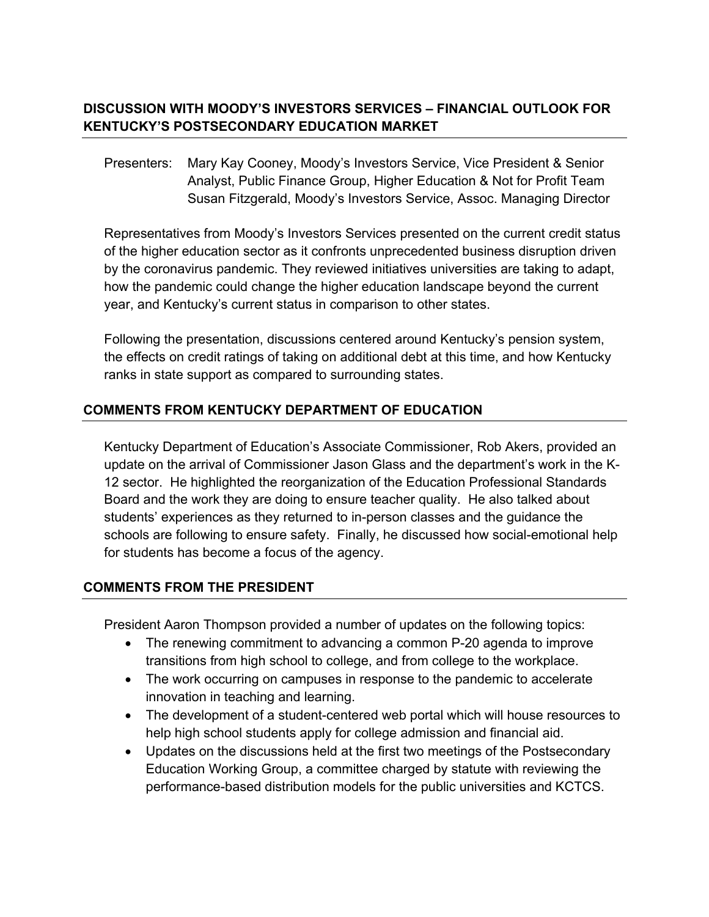# **DISCUSSION WITH MOODY'S INVESTORS SERVICES – FINANCIAL OUTLOOK FOR KENTUCKY'S POSTSECONDARY EDUCATION MARKET**

Presenters: Mary Kay Cooney, Moody's Investors Service, Vice President & Senior Analyst, Public Finance Group, Higher Education & Not for Profit Team Susan Fitzgerald, Moody's Investors Service, Assoc. Managing Director

Representatives from Moody's Investors Services presented on the current credit status of the higher education sector as it confronts unprecedented business disruption driven by the coronavirus pandemic. They reviewed initiatives universities are taking to adapt, how the pandemic could change the higher education landscape beyond the current year, and Kentucky's current status in comparison to other states.

Following the presentation, discussions centered around Kentucky's pension system, the effects on credit ratings of taking on additional debt at this time, and how Kentucky ranks in state support as compared to surrounding states.

# **COMMENTS FROM KENTUCKY DEPARTMENT OF EDUCATION**

Kentucky Department of Education's Associate Commissioner, Rob Akers, provided an update on the arrival of Commissioner Jason Glass and the department's work in the K-12 sector. He highlighted the reorganization of the Education Professional Standards Board and the work they are doing to ensure teacher quality. He also talked about students' experiences as they returned to in-person classes and the guidance the schools are following to ensure safety. Finally, he discussed how social-emotional help for students has become a focus of the agency.

# **COMMENTS FROM THE PRESIDENT**

President Aaron Thompson provided a number of updates on the following topics:

- The renewing commitment to advancing a common P-20 agenda to improve transitions from high school to college, and from college to the workplace.
- The work occurring on campuses in response to the pandemic to accelerate innovation in teaching and learning.
- The development of a student-centered web portal which will house resources to help high school students apply for college admission and financial aid.
- Updates on the discussions held at the first two meetings of the Postsecondary Education Working Group, a committee charged by statute with reviewing the performance-based distribution models for the public universities and KCTCS.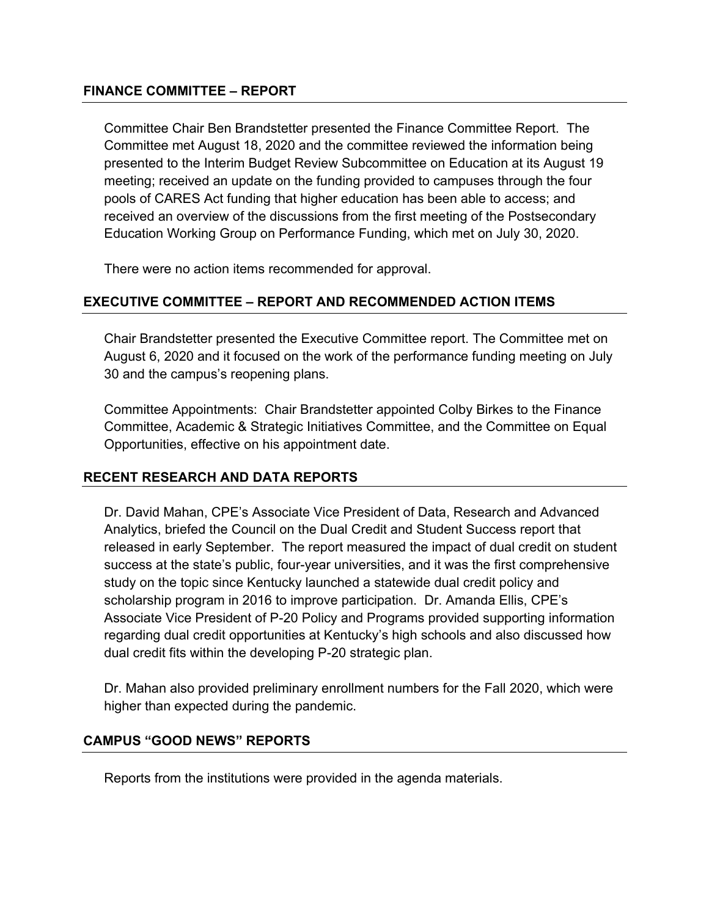#### **FINANCE COMMITTEE – REPORT**

Committee Chair Ben Brandstetter presented the Finance Committee Report. The Committee met August 18, 2020 and the committee reviewed the information being presented to the Interim Budget Review Subcommittee on Education at its August 19 meeting; received an update on the funding provided to campuses through the four pools of CARES Act funding that higher education has been able to access; and received an overview of the discussions from the first meeting of the Postsecondary Education Working Group on Performance Funding, which met on July 30, 2020.

There were no action items recommended for approval.

# **EXECUTIVE COMMITTEE – REPORT AND RECOMMENDED ACTION ITEMS**

Chair Brandstetter presented the Executive Committee report. The Committee met on August 6, 2020 and it focused on the work of the performance funding meeting on July 30 and the campus's reopening plans.

Committee Appointments: Chair Brandstetter appointed Colby Birkes to the Finance Committee, Academic & Strategic Initiatives Committee, and the Committee on Equal Opportunities, effective on his appointment date.

## **RECENT RESEARCH AND DATA REPORTS**

Dr. David Mahan, CPE's Associate Vice President of Data, Research and Advanced Analytics, briefed the Council on the Dual Credit and Student Success report that released in early September. The report measured the impact of dual credit on student success at the state's public, four-year universities, and it was the first comprehensive study on the topic since Kentucky launched a statewide dual credit policy and scholarship program in 2016 to improve participation. Dr. Amanda Ellis, CPE's Associate Vice President of P-20 Policy and Programs provided supporting information regarding dual credit opportunities at Kentucky's high schools and also discussed how dual credit fits within the developing P-20 strategic plan.

Dr. Mahan also provided preliminary enrollment numbers for the Fall 2020, which were higher than expected during the pandemic.

## **CAMPUS "GOOD NEWS" REPORTS**

Reports from the institutions were provided in the agenda materials.